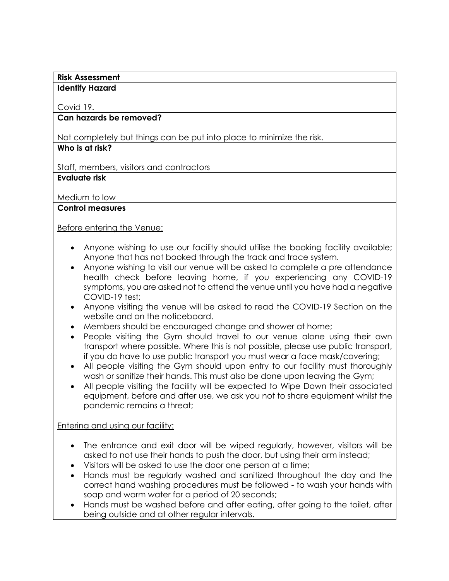## **Risk Assessment**

#### **Identify Hazard**

## Covid 19.

## **Can hazards be removed?**

Not completely but things can be put into place to minimize the risk.

# **Who is at risk?**

Staff, members, visitors and contractors

## **Evaluate risk**

Medium to low

## **Control measures**

## Before entering the Venue:

- Anyone wishing to use our facility should utilise the booking facility available; Anyone that has not booked through the track and trace system.
- Anyone wishing to visit our venue will be asked to complete a pre attendance health check before leaving home, if you experiencing any COVID-19 symptoms, you are asked not to attend the venue until you have had a negative COVID-19 test;
- Anyone visiting the venue will be asked to read the COVID-19 Section on the website and on the noticeboard.
- Members should be encouraged change and shower at home;
- People visiting the Gym should travel to our venue alone using their own transport where possible. Where this is not possible, please use public transport, if you do have to use public transport you must wear a face mask/covering;
- All people visiting the Gym should upon entry to our facility must thoroughly wash or sanitize their hands. This must also be done upon leaving the Gym;
- All people visiting the facility will be expected to Wipe Down their associated equipment, before and after use, we ask you not to share equipment whilst the pandemic remains a threat;

Entering and using our facility:

- The entrance and exit door will be wiped regularly, however, visitors will be asked to not use their hands to push the door, but using their arm instead;
- Visitors will be asked to use the door one person at a time;
- Hands must be regularly washed and sanitized throughout the day and the correct hand washing procedures must be followed - to wash your hands with soap and warm water for a period of 20 seconds;
- Hands must be washed before and after eating, after going to the toilet, after being outside and at other regular intervals.